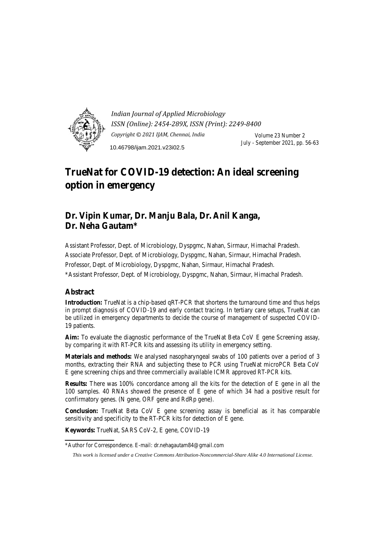

*Indian Journal of Applied Microbiology ISSN (Online): 2454-289X, ISSN (Print): 2249-8400 Copyright © 2021 IJAM, Chennai, India* Volume 23 Number 2 July - September 2021, pp. 56-63 10.46798/ijam.2021.v23i02.5

# **TrueNat for COVID-19 detection: An ideal screening option in emergency**

# **Dr. Vipin Kumar, Dr. Manju Bala, Dr. Anil Kanga, Dr. Neha Gautam\***

Assistant Professor, Dept. of Microbiology, Dyspgmc, Nahan, Sirmaur, Himachal Pradesh. Associate Professor, Dept. of Microbiology, Dyspgmc, Nahan, Sirmaur, Himachal Pradesh. Professor, Dept. of Microbiology, Dyspgmc, Nahan, Sirmaur, Himachal Pradesh. \*Assistant Professor, Dept. of Microbiology, Dyspgmc, Nahan, Sirmaur, Himachal Pradesh.

# **Abstract**

**Introduction:** TrueNat is a chip-based qRT-PCR that shortens the turnaround time and thus helps in prompt diagnosis of COVID-19 and early contact tracing. In tertiary care setups, TrueNat can be utilized in emergency departments to decide the course of management of suspected COVID-19 patients.

**Aim:** To evaluate the diagnostic performance of the TrueNat Beta CoV E gene Screening assay, by comparing it with RT-PCR kits and assessing its utility in emergency setting.

**Materials and methods:** We analysed nasopharyngeal swabs of 100 patients over a period of 3 months, extracting their RNA and subjecting these to PCR using TrueNat microPCR Beta CoV E gene screening chips and three commercially available ICMR approved RT-PCR kits.

**Results:** There was 100% concordance among all the kits for the detection of E gene in all the 100 samples. 40 RNAs showed the presence of E gene of which 34 had a positive result for confirmatory genes. (N gene, ORF gene and RdRp gene).

**Conclusion:** TrueNat Beta CoV E gene screening assay is beneficial as it has comparable sensitivity and specificity to the RT-PCR kits for detection of E gene.

**Keywords:** TrueNat, SARS CoV-2, E gene, COVID-19

<sup>\*</sup>Author for Correspondence. E-mail: dr.nehagautam84@gmail.com

*This work is licensed under a Creative Commons Attribution-Noncommercial-Share Alike 4.0 International License.*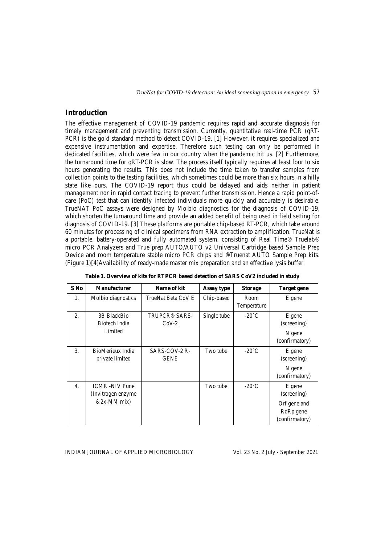*TrueNat for COVID-19 detection: An ideal screening option in emergency* 57

## **Introduction**

The effective management of COVID-19 pandemic requires rapid and accurate diagnosis for timely management and preventing transmission. Currently, quantitative real-time PCR (qRT-PCR) is the gold standard method to detect COVID-19. [1] However, it requires specialized and expensive instrumentation and expertise. Therefore such testing can only be performed in dedicated facilities, which were few in our country when the pandemic hit us. [2] Furthermore, the turnaround time for qRT-PCR is slow. The process itself typically requires at least four to six hours generating the results. This does not include the time taken to transfer samples from collection points to the testing facilities, which sometimes could be more than six hours in a hilly state like ours. The COVID-19 report thus could be delayed and aids neither in patient management nor in rapid contact tracing to prevent further transmission. Hence a rapid point-ofcare (PoC) test that can identify infected individuals more quickly and accurately is desirable. TrueNAT PoC assays were designed by Molbio diagnostics for the diagnosis of COVID-19, which shorten the turnaround time and provide an added benefit of being used in field setting for diagnosis of COVID-19. [3] These platforms are portable chip-based RT-PCR, which take around 60 minutes for processing of clinical specimens from RNA extraction to amplification. TrueNat is a portable, battery-operated and fully automated system. consisting of Real Time® Truelab® micro PCR Analyzers and True prep AUTO/AUTO v2 Universal Cartridge based Sample Prep Device and room temperature stable micro PCR chips and ®Truenat AUTO Sample Prep kits. (Figure 1)[4]Availability of ready-made master mix preparation and an effective lysis buffer

| $S$ No           | <b>Manufacturer</b>                                           | Name of kit                     | Assay type  | <b>Storage</b>      | Target gene                                                                      |
|------------------|---------------------------------------------------------------|---------------------------------|-------------|---------------------|----------------------------------------------------------------------------------|
| 1.               | Molbio diagnostics                                            | TrueNat Beta CoV E              | Chip-based  | Room<br>Temperature | E gene                                                                           |
| 2.               | 3B BlackBio<br>Biotech India<br>Limited                       | <b>TRUPCR® SARS-</b><br>$CoV-2$ | Single tube | $-20^{\circ}$ C     | E gene<br>(screening)<br>N gene<br>(confirmatory)                                |
| 3.               | BioMerieux India<br>private limited                           | SARS-COV-2 R-<br><b>GENE</b>    | Two tube    | $-20^{\circ}$ C     | E gene<br>(screening)<br>N gene<br>(confirmatory)                                |
| $\overline{4}$ . | <b>ICMR</b> -NIV Pune<br>(Invitrogen enzyme)<br>$&2x-MM$ mix) |                                 | Two tube    | $-20^{\circ}$ C     | E gene<br>(screening)<br>Orf gene and<br>RdR <sub>p</sub> gene<br>(confirmatory) |

**Table 1. Overview of kits for RTPCR based detection of SARS CoV2 included in study**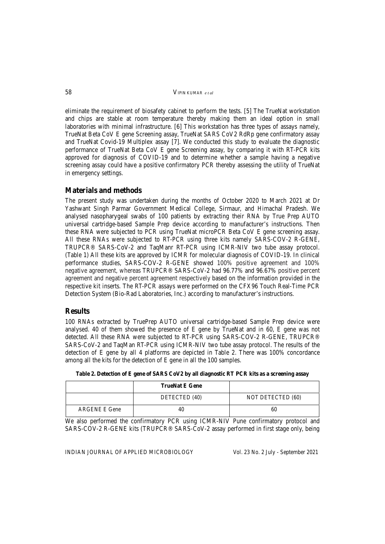58VIPIN KUMAR *e t al*

eliminate the requirement of biosafety cabinet to perform the tests. [5] The TrueNat workstation and chips are stable at room temperature thereby making them an ideal option in small laboratories with minimal infrastructure. [6] This workstation has three types of assays namely, TrueNat Beta CoV E gene Screening assay, TrueNat SARS CoV2 RdRp gene confirmatory assay and TrueNat Covid-19 Multiplex assay [7]. We conducted this study to evaluate the diagnostic performance of TrueNat Beta CoV E gene Screening assay, by comparing it with RT-PCR kits approved for diagnosis of COVID-19 and to determine whether a sample having a negative screening assay could have a positive confirmatory PCR thereby assessing the utility of TrueNat in emergency settings.

### **Materials and methods**

The present study was undertaken during the months of October 2020 to March 2021 at Dr Yashwant Singh Parmar Government Medical College, Sirmaur, and Himachal Pradesh. We analysed nasopharygeal swabs of 100 patients by extracting their RNA by True Prep AUTO universal cartridge-based Sample Prep device according to manufacturer's instructions. Then these RNA were subjected to PCR using TrueNat microPCR Beta CoV E gene screening assay. All these RNAs were subjected to RT-PCR using three kits namely SARS-COV-2 R-GENE, TRUPCR® SARS-CoV-2 and TaqManr RT-PCR using ICMR-NIV two tube assay protocol. (Table 1) All these kits are approved by ICMR for molecular diagnosis of COVID-19. In clinical performance studies, SARS-COV-2 R-GENE showed 100% positive agreement and 100% negative agreement, whereas TRUPCR® SARS-CoV-2 had 96.77% and 96.67% positive percent agreement and negative percent agreement respectively based on the information provided in the respective kit inserts. The RT-PCR assays were performed on the CFX96 Touch Real-Time PCR Detection System (Bio-Rad Laboratories, Inc.) according to manufacturer's instructions.

### **Results**

100 RNAs extracted by TruePrep AUTO universal cartridge-based Sample Prep device were analysed. 40 of them showed the presence of E gene by TrueNat and in 60, E gene was not detected. All these RNA were subjected to RT-PCR using SARS-COV-2 R-GENE, TRUPCR® SARS-CoV-2 and TaqMan RT-PCR using ICMR-NIV two tube assay protocol. The results of the detection of E gene by all 4 platforms are depicted in Table 2. There was 100% concordance among all the kits for the detection of E gene in all the 100 samples.

**Table 2. Detection of E gene of SARS CoV2 by all diagnostic RT PCR kits as a screening assay** 

|                      | <b>TrueNat E Gene</b> |                   |
|----------------------|-----------------------|-------------------|
|                      | DETECTED (40)         | NOT DETECTED (60) |
| <b>ARGENE E Gene</b> | 40.                   | 60                |

We also performed the confirmatory PCR using ICMR-NIV Pune confirmatory protocol and SARS-COV-2 R-GENE kits (TRUPCR® SARS-CoV-2 assay performed in first stage only, being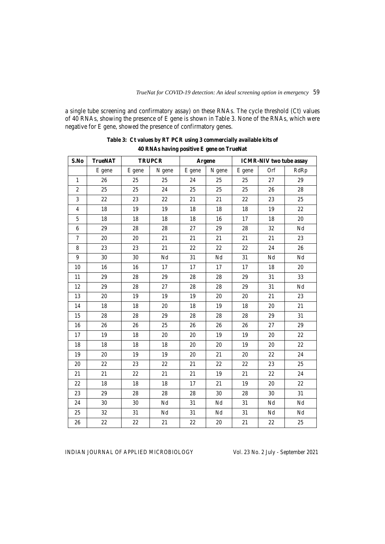a single tube screening and confirmatory assay) on these RNAs. The cycle threshold (Ct) values of 40 RNAs, showing the presence of E gene is shown in Table 3. None of the RNAs, which were negative for E gene, showed the presence of confirmatory genes.

| S.No           | <b>TrueNAT</b> |        | <b>TRUPCR</b> | Argene |          | <b>ICMR-NIV</b> two tube assay |          |          |
|----------------|----------------|--------|---------------|--------|----------|--------------------------------|----------|----------|
|                | E gene         | E gene | N gene        | E gene | N gene   | E gene                         | Orf      | RdRp     |
| $\mathbf{1}$   | 26             | 25     | 25            | 24     | 25       | 25                             | 27       | 29       |
| $\overline{c}$ | 25             | 25     | 24            | 25     | 25       | 25                             | 26       | 28       |
| 3              | 22             | 23     | 22            | 21     | 21       | 22                             | 23       | 25       |
| $\overline{4}$ | 18             | 19     | 19            | 18     | $18\,$   | 18                             | 19       | $22\,$   |
| 5              | $18\,$         | 18     | $18\,$        | $18\,$ | 16       | 17                             | 18       | $20\,$   |
| 6              | 29             | 28     | 28            | 27     | 29       | 28                             | 32       | $\rm Nd$ |
| $\tau$         | 20             | 20     | 21            | 21     | 21       | 21                             | 21       | 23       |
| 8              | 23             | 23     | 21            | $22\,$ | 22       | 22                             | 24       | 26       |
| 9              | 30             | 30     | $\rm Nd$      | 31     | $\rm Nd$ | 31                             | $\rm Nd$ | $\rm Nd$ |
| 10             | 16             | 16     | 17            | 17     | 17       | 17                             | 18       | $20\,$   |
| 11             | 29             | 28     | 29            | $28\,$ | $28\,$   | 29                             | 31       | 33       |
| 12             | 29             | 28     | 27            | 28     | 28       | 29                             | 31       | $\rm Nd$ |
| 13             | 20             | 19     | 19            | 19     | 20       | 20                             | 21       | 23       |
| 14             | 18             | 18     | 20            | $18\,$ | 19       | 18                             | 20       | $21\,$   |
| 15             | 28             | $28\,$ | 29            | 28     | 28       | 28                             | 29       | 31       |
| 16             | 26             | $26\,$ | 25            | $26\,$ | 26       | 26                             | 27       | 29       |
| 17             | 19             | 18     | 20            | 20     | 19       | 19                             | 20       | 22       |
| 18             | 18             | 18     | 18            | 20     | 20       | 19                             | 20       | 22       |
| 19             | 20             | 19     | 19            | 20     | 21       | 20                             | 22       | 24       |
| 20             | 22             | 23     | 22            | $21\,$ | $22\,$   | 22                             | 23       | 25       |
| 21             | 21             | 22     | 21            | 21     | 19       | 21                             | 22       | 24       |
| 22             | 18             | 18     | $18\,$        | 17     | 21       | 19                             | 20       | $22\,$   |
| 23             | 29             | 28     | 28            | 28     | 30       | 28                             | 30       | 31       |
| 24             | 30             | 30     | $\rm Nd$      | 31     | $\rm Nd$ | 31                             | $\rm Nd$ | $\rm Nd$ |
| 25             | 32             | 31     | Nd            | 31     | Nd       | 31                             | Nd       | $\rm Nd$ |
| 26             | 22             | 22     | 21            | $22\,$ | 20       | 21                             | $22\,$   | $25\,$   |

| Table 3: Ct values by RT PCR using 3 commercially available kits of |
|---------------------------------------------------------------------|
| 40 RNAs having positive E gene on TrueNat                           |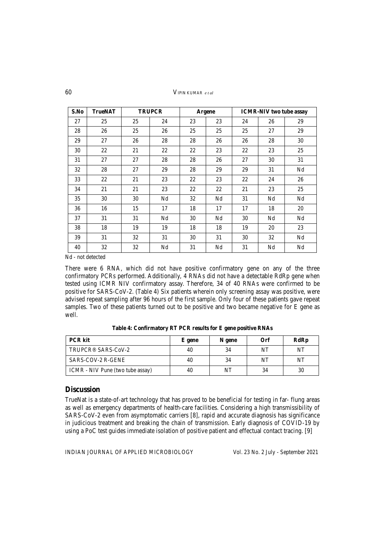60VIPIN KUMAR *e t al*

| S.No | <b>TrueNAT</b> | <b>TRUPCR</b> |    | Argene |    | <b>ICMR-NIV</b> two tube assay |    |    |
|------|----------------|---------------|----|--------|----|--------------------------------|----|----|
| 27   | 25             | 25            | 24 | 23     | 23 | 24                             | 26 | 29 |
| 28   | 26             | 25            | 26 | 25     | 25 | 25                             | 27 | 29 |
| 29   | 27             | 26            | 28 | 28     | 26 | 26                             | 28 | 30 |
| 30   | 22             | 21            | 22 | 22     | 23 | 22                             | 23 | 25 |
| 31   | 27             | 27            | 28 | 28     | 26 | 27                             | 30 | 31 |
| 32   | 28             | 27            | 29 | 28     | 29 | 29                             | 31 | Nd |
| 33   | 22             | 21            | 23 | 22     | 23 | 22                             | 24 | 26 |
| 34   | 21             | 21            | 23 | 22     | 22 | 21                             | 23 | 25 |
| 35   | 30             | 30            | Nd | 32     | Nd | 31                             | Nd | Nd |
| 36   | 16             | 15            | 17 | 18     | 17 | 17                             | 18 | 20 |
| 37   | 31             | 31            | Nd | 30     | Nd | 30                             | Nd | Nd |
| 38   | 18             | 19            | 19 | 18     | 18 | 19                             | 20 | 23 |
| 39   | 31             | 32            | 31 | 30     | 31 | 30                             | 32 | Nd |
| 40   | 32             | 32            | Nd | 31     | Nd | 31                             | Nd | Nd |

Nd - not detected

There were 6 RNA, which did not have positive confirmatory gene on any of the three confirmatory PCRs performed. Additionally, 4 RNAs did not have a detectable RdRp gene when tested using ICMR NIV confirmatory assay. Therefore, 34 of 40 RNAs were confirmed to be positive for SARS-CoV-2. (Table 4) Six patients wherein only screening assay was positive, were advised repeat sampling after 96 hours of the first sample. Only four of these patients gave repeat samples. Two of these patients turned out to be positive and two became negative for E gene as well.

| <b>PCR</b> kit                   | E gene | N gene | Orf | RdRp |
|----------------------------------|--------|--------|-----|------|
| TRUPCR <sup>®</sup> SARS-CoV-2   | 40     | 34     | NT  | NT   |
| SARS-COV-2 R-GENE                | 40     | 34     | NT  | NT   |
| ICMR - NIV Pune (two tube assay) | 40     | NT     | 34  | 30   |

**Table 4: Confirmatory RT PCR results for E gene positive RNAs** 

#### **Discussion**

TrueNat is a state-of-art technology that has proved to be beneficial for testing in far- flung areas as well as emergency departments of health-care facilities. Considering a high transmissibility of SARS-CoV-2 even from asymptomatic carriers [8], rapid and accurate diagnosis has significance in judicious treatment and breaking the chain of transmission. Early diagnosis of COVID-19 by using a PoC test guides immediate isolation of positive patient and effectual contact tracing. [9]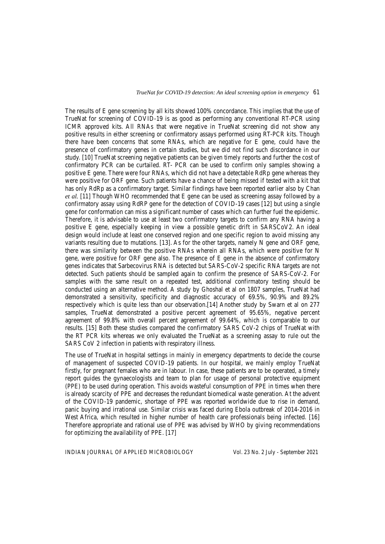The results of E gene screening by all kits showed 100% concordance. This implies that the use of TrueNat for screening of COVID-19 is as good as performing any conventional RT-PCR using ICMR approved kits. All RNAs that were negative in TrueNat screening did not show any positive results in either screening or confirmatory assays performed using RT-PCR kits. Though there have been concerns that some RNAs, which are negative for E gene, could have the presence of confirmatory genes in certain studies, but we did not find such discordance in our study. [10] TrueNat screening negative patients can be given timely reports and further the cost of confirmatory PCR can be curtailed. RT- PCR can be used to confirm only samples showing a positive E gene. There were four RNAs, which did not have a detectable RdRp gene whereas they were positive for ORF gene. Such patients have a chance of being missed if tested with a kit that has only RdRp as a confirmatory target. Similar findings have been reported earlier also by Chan *et al.* [11] Though WHO recommended that E gene can be used as screening assay followed by a confirmatory assay using RdRP gene for the detection of COVID-19 cases [12] but using a single gene for conformation can miss a significant number of cases which can further fuel the epidemic. Therefore, it is advisable to use at least two confirmatory targets to confirm any RNA having a positive E gene, especially keeping in view a possible genetic drift in SARSCoV2. An ideal design would include at least one conserved region and one specific region to avoid missing any variants resulting due to mutations. [13]. As for the other targets, namely N gene and ORF gene, there was similarity between the positive RNAs wherein all RNAs, which were positive for N gene, were positive for ORF gene also. The presence of E gene in the absence of confirmatory genes indicates that Sarbecovirus RNA is detected but SARS-CoV-2 specific RNA targets are not detected. Such patients should be sampled again to confirm the presence of SARS-CoV-2. For samples with the same result on a repeated test, additional confirmatory testing should be conducted using an alternative method. A study by Ghoshal et al on 1807 samples, TrueNat had demonstrated a sensitivity, specificity and diagnostic accuracy of 69.5%, 90.9% and 89.2% respectively which is quite less than our observation.[14] Another study by Swarn et al on 277 samples, TrueNat demonstrated a positive percent agreement of 95.65%, negative percent agreement of 99.8% with overall percent agreement of 99.64%, which is comparable to our results. [15] Both these studies compared the confirmatory SARS CoV-2 chips of TrueNat with the RT PCR kits whereas we only evaluated the TrueNat as a screening assay to rule out the SARS CoV 2 infection in patients with respiratory illness.

The use of TrueNat in hospital settings in mainly in emergency departments to decide the course of management of suspected COVID-19 patients. In our hospital, we mainly employ TrueNat firstly, for pregnant females who are in labour. In case, these patients are to be operated, a timely report guides the gynaecologists and team to plan for usage of personal protective equipment (PPE) to be used during operation. This avoids wasteful consumption of PPE in times when there is already scarcity of PPE and decreases the redundant biomedical waste generation. At the advent of the COVID-19 pandemic, shortage of PPE was reported worldwide due to rise in demand, panic buying and irrational use. Similar crisis was faced during Ebola outbreak of 2014-2016 in West Africa, which resulted in higher number of health care professionals being infected. [16] Therefore appropriate and rational use of PPE was advised by WHO by giving recommendations for optimizing the availability of PPE. [17]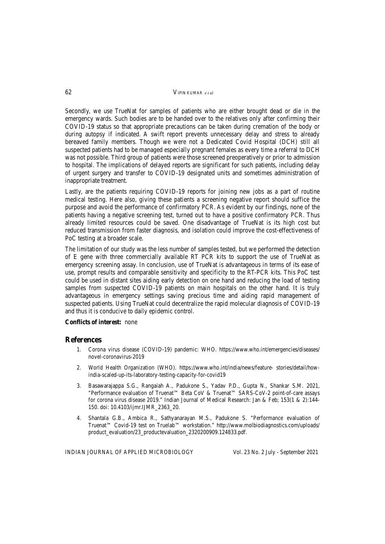Secondly, we use TrueNat for samples of patients who are either brought dead or die in the emergency wards. Such bodies are to be handed over to the relatives only after confirming their COVID-19 status so that appropriate precautions can be taken during cremation of the body or during autopsy if indicated. A swift report prevents unnecessary delay and stress to already bereaved family members. Though we were not a Dedicated Covid Hospital (DCH) still all suspected patients had to be managed especially pregnant females as every time a referral to DCH was not possible. Third group of patients were those screened preoperatively or prior to admission to hospital. The implications of delayed reports are significant for such patients, including delay of urgent surgery and transfer to COVID-19 designated units and sometimes administration of inappropriate treatment.

Lastly, are the patients requiring COVID-19 reports for joining new jobs as a part of routine medical testing. Here also, giving these patients a screening negative report should suffice the purpose and avoid the performance of confirmatory PCR. As evident by our findings, none of the patients having a negative screening test, turned out to have a positive confirmatory PCR. Thus already limited resources could be saved. One disadvantage of TrueNat is its high cost but reduced transmission from faster diagnosis, and isolation could improve the cost-effectiveness of PoC testing at a broader scale.

The limitation of our study was the less number of samples tested, but we performed the detection of E gene with three commercially available RT PCR kits to support the use of TrueNat as emergency screening assay. In conclusion, use of TrueNat is advantageous in terms of its ease of use, prompt results and comparable sensitivity and specificity to the RT-PCR kits. This PoC test could be used in distant sites aiding early detection on one hand and reducing the load of testing samples from suspected COVID-19 patients on main hospitals on the other hand. It is truly advantageous in emergency settings saving precious time and aiding rapid management of suspected patients. Using TrueNat could decentralize the rapid molecular diagnosis of COVID-19 and thus it is conducive to daily epidemic control.

#### **Conflicts of interest:** none

#### **References**

- 1. Corona virus disease (COVID-19) pandemic: WHO. https://www.who.int/emergencies/diseases/ novel-coronavirus-2019
- 2. World Health Organization (WHO). https://www.who.int/india/news/feature- stories/detail/howindia-scaled-up-its-laboratory-testing-capacity-for-covid19
- 3. Basawarajappa S.G., Rangaiah A., Padukone S., Yadav P.D., Gupta N., Shankar S.M. 2021, "Performance evaluation of Truenat™ Beta CoV & Truenat™ SARS-CoV-2 point-of-care assays for corona virus disease 2019." Indian Journal of Medical Research: Jan & Feb; 153(1 & 2):144- 150. doi: 10.4103/ijmr.IJMR\_2363\_20.
- 4. Shantala G.B., Ambica R., Sathyanarayan M.S., Padukone S. "Performance evaluation of Truenat™ Covid-19 test on Truelab™ workstation." http://www.molbiodiagnostics.com/uploads/ product\_evaluation/23\_productevaluation\_2320200909.124833.pdf.